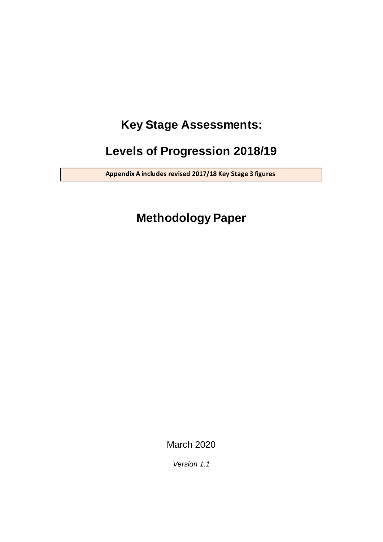# **Key Stage Assessments:**

# **Levels of Progression 2018/19**

**Appendix A includes revised 2017/18 Key Stage 3 figures**

# **Methodology Paper**

March 2020

*Version 1.1*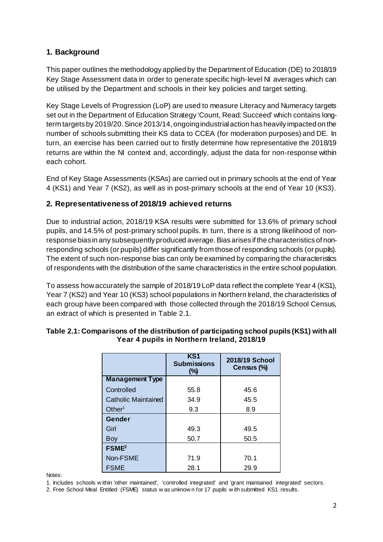## **1. Background**

This paper outlines the methodology applied by the Department of Education (DE) to 2018/19 Key Stage Assessment data in order to generate specific high-level NI averages which can be utilised by the Department and schools in their key policies and target setting.

Key Stage Levels of Progression (LoP) are used to measure Literacy and Numeracy targets set out in the Department of Education Strategy 'Count, Read: Succeed' which contains longterm targets by 2019/20.Since 2013/14, ongoing industrial action has heavily impacted on the number of schools submitting their KS data to CCEA (for moderation purposes) and DE. In turn, an exercise has been carried out to firstly determine how representative the 2018/19 returns are within the NI context and, accordingly, adjust the data for non-response within each cohort.

End of Key Stage Assessments (KSAs) are carried out in primary schools at the end of Year 4 (KS1) and Year 7 (KS2), as well as in post-primary schools at the end of Year 10 (KS3).

## **2. Representativeness of 2018/19 achieved returns**

Due to industrial action, 2018/19 KSA results were submitted for 13.6% of primary school pupils, and 14.5% of post-primary school pupils. In turn, there is a strong likelihood of nonresponse bias in any subsequently produced average. Bias arises if the characteristics of nonresponding schools (or pupils) differ significantly from those of responding schools (or pupils). The extent of such non-response bias can only be examined by comparing the characteristics of respondents with the distribution of the same characteristics in the entire school population.

To assess how accurately the sample of 2018/19 LoP data reflect the complete Year 4 (KS1), Year 7 (KS2) and Year 10 (KS3) school populations in Northern Ireland, the characteristics of each group have been compared with those collected through the 2018/19 School Census, an extract of which is presented in Table 2.1.

|                        | KS <sub>1</sub><br><b>Submissions</b><br>$(\%)$ | <b>2018/19 School</b><br>Census (%) |  |  |
|------------------------|-------------------------------------------------|-------------------------------------|--|--|
| <b>Management Type</b> |                                                 |                                     |  |  |
| Controlled             | 55.8                                            | 45.6                                |  |  |
| Catholic Maintained    | 34.9                                            | 45.5                                |  |  |
| Other <sup>1</sup>     | 9.3                                             | 8.9                                 |  |  |
| Gender                 |                                                 |                                     |  |  |
| Girl                   | 49.3                                            | 49.5                                |  |  |
| Boy                    | 50.7                                            | 50.5                                |  |  |
| FSME <sup>2</sup>      |                                                 |                                     |  |  |
| Non-FSME               | 71.9                                            | 70.1                                |  |  |
| <b>FSME</b>            | 28.1                                            | 29.9                                |  |  |

### **Table 2.1: Comparisons of the distribution of participating school pupils (KS1) with all Year 4 pupils in Northern Ireland, 2018/19**

Notes:

1. Includes schools w ithin 'other maintained', 'controlled integrated' and 'grant maintained integrated' sectors.

2. Free School Meal Entitled (FSME) status w as unknow n for 17 pupils w ith submitted KS1 results.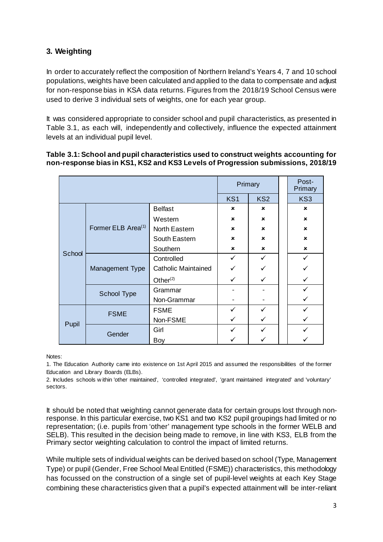# **3. Weighting**

In order to accurately reflect the composition of Northern Ireland's Years 4, 7 and 10 school populations, weights have been calculated and applied to the data to compensate and adjust for non-response bias in KSA data returns. Figures from the 2018/19 School Census were used to derive 3 individual sets of weights, one for each year group.

It was considered appropriate to consider school and pupil characteristics, as presented in Table 3.1, as each will, independently and collectively, influence the expected attainment levels at an individual pupil level.

### **Table 3.1: School and pupil characteristics used to construct weights accounting for non-response bias in KS1, KS2 and KS3 Levels of Progression submissions, 2018/19**

|        |                                | Primary                    |                           |                           | Post-<br>Primary |                           |  |
|--------|--------------------------------|----------------------------|---------------------------|---------------------------|------------------|---------------------------|--|
|        |                                |                            | KS <sub>1</sub>           | KS <sub>2</sub>           |                  | KS3                       |  |
|        |                                | <b>Belfast</b>             | $\boldsymbol{\mathsf{x}}$ | $\boldsymbol{\mathsf{x}}$ |                  | $\pmb{\times}$            |  |
|        |                                | Western                    | $\boldsymbol{\mathsf{x}}$ | $\mathbf x$               |                  | $\pmb{\times}$            |  |
|        | Former ELB Area <sup>(1)</sup> | North Eastern              | $\boldsymbol{\mathsf{x}}$ | $\boldsymbol{\mathsf{x}}$ |                  | $\pmb{\times}$            |  |
| School |                                | South Eastern              | $\boldsymbol{\mathsf{x}}$ | $\boldsymbol{\mathsf{x}}$ |                  | $\pmb{\times}$            |  |
|        |                                | Southern                   | $\mathbf x$               | $\pmb{\times}$            |                  | $\boldsymbol{\mathsf{x}}$ |  |
|        | Management Type                | Controlled                 | $\checkmark$              | ✓                         |                  | ✓                         |  |
|        |                                | <b>Catholic Maintained</b> |                           |                           |                  |                           |  |
|        |                                | Other <sup>(2)</sup>       |                           |                           |                  |                           |  |
|        |                                | Grammar                    |                           |                           |                  |                           |  |
|        |                                | School Type<br>Non-Grammar |                           |                           |                  |                           |  |
|        | <b>FSME</b>                    | <b>FSME</b>                |                           |                           |                  |                           |  |
| Pupil  |                                | ✓                          |                           |                           |                  |                           |  |
|        | Gender                         | Girl                       |                           |                           |                  |                           |  |
|        |                                | Boy                        |                           |                           |                  |                           |  |

Notes:

1. The Education Authority came into existence on 1st April 2015 and assumed the responsibilities of the former Education and Library Boards (ELBs).

2. Includes schools w ithin 'other maintained', 'controlled integrated', 'grant maintained integrated' and 'voluntary' sectors.

It should be noted that weighting cannot generate data for certain groups lost through nonresponse. In this particular exercise, two KS1 and two KS2 pupil groupings had limited or no representation; (i.e. pupils from 'other' management type schools in the former WELB and SELB). This resulted in the decision being made to remove, in line with KS3, ELB from the Primary sector weighting calculation to control the impact of limited returns.

While multiple sets of individual weights can be derived based on school (Type, Management Type) or pupil (Gender, Free School Meal Entitled (FSME)) characteristics, this methodology has focussed on the construction of a single set of pupil-level weights at each Key Stage combining these characteristics given that a pupil's expected attainment will be inter-reliant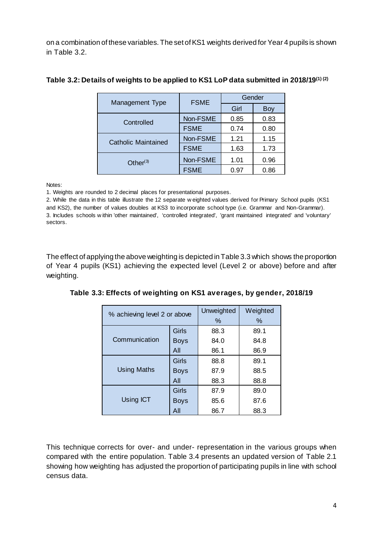on a combination of these variables. The set of KS1 weights derived for Year 4 pupils is shown in Table 3.2.

| Management Type            | <b>FSME</b> | Gender |            |  |  |
|----------------------------|-------------|--------|------------|--|--|
|                            |             | Girl   | <b>Boy</b> |  |  |
| Controlled                 | Non-FSME    | 0.85   | 0.83       |  |  |
|                            | <b>FSME</b> | 0.74   | 0.80       |  |  |
| <b>Catholic Maintained</b> | Non-FSME    | 1.21   | 1.15       |  |  |
|                            | <b>FSME</b> | 1.63   | 1.73       |  |  |
| Other $(3)$                | Non-FSME    | 1.01   | 0.96       |  |  |
|                            | <b>FSME</b> | 0.97   | 0.86       |  |  |

### **Table 3.2: Details of weights to be applied to KS1 LoP data submitted in 2018/19(1) (2)**

Notes:

1. Weights are rounded to 2 decimal places for presentational purposes.

2. While the data in this table illustrate the 12 separate w eighted values derived for Primary School pupils (KS1 and KS2), the number of values doubles at KS3 to incorporate school type (i.e. Grammar and Non-Grammar). 3. Includes schools w ithin 'other maintained', 'controlled integrated', 'grant maintained integrated' and 'voluntary' sectors.

The effect of applying the above weighting is depicted in Table 3.3 which shows the proportion of Year 4 pupils (KS1) achieving the expected level (Level 2 or above) before and after weighting.

| % achieving level 2 or above | Unweighted<br>$\%$ | Weighted<br>$\%$ |      |  |
|------------------------------|--------------------|------------------|------|--|
|                              | Girls              | 88.3             | 89.1 |  |
| Communication                | <b>Boys</b>        | 84.0             | 84.8 |  |
|                              | All                | 86.1             | 86.9 |  |
|                              | Girls              | 88.8             | 89.1 |  |
| Using Maths                  | <b>Boys</b>        | 87.9             | 88.5 |  |
|                              | All                | 88.3             | 88.8 |  |
|                              | Girls              | 87.9             | 89.0 |  |
| Using ICT                    | <b>Boys</b>        | 85.6             | 87.6 |  |
|                              | All                | 86.7             | 88.3 |  |

**Table 3.3: Effects of weighting on KS1 averages, by gender, 2018/19**

This technique corrects for over- and under- representation in the various groups when compared with the entire population. Table 3.4 presents an updated version of Table 2.1 showing how weighting has adjusted the proportion of participating pupils in line with school census data.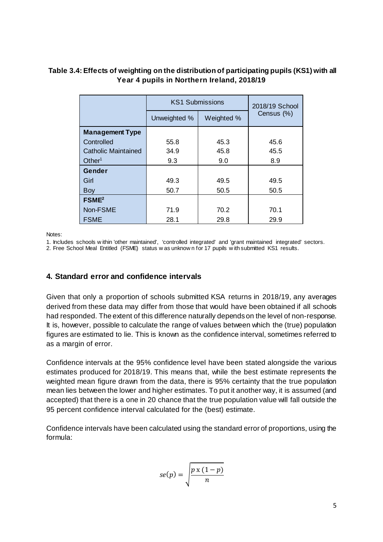| Table 3.4: Effects of weighting on the distribution of participating pupils (KS1) with all |  |
|--------------------------------------------------------------------------------------------|--|
| Year 4 pupils in Northern Ireland, 2018/19                                                 |  |

|                            | <b>KS1 Submissions</b> | 2018/19 School |            |
|----------------------------|------------------------|----------------|------------|
|                            | Unweighted %           | Weighted %     | Census (%) |
| <b>Management Type</b>     |                        |                |            |
| Controlled                 | 55.8                   | 45.3           | 45.6       |
| <b>Catholic Maintained</b> | 34.9                   | 45.8           | 45.5       |
| Other <sup>1</sup>         | 9.3                    | 9.0            | 8.9        |
| Gender                     |                        |                |            |
| Girl                       | 49.3                   | 49.5           | 49.5       |
| Boy                        | 50.7                   | 50.5           | 50.5       |
| FSME <sup>2</sup>          |                        |                |            |
| Non-FSME                   | 71.9                   | 70.2           | 70.1       |
| <b>FSME</b>                | 28.1                   | 29.8           | 29.9       |

Notes:

1. Includes schools w ithin 'other maintained', 'controlled integrated' and 'grant maintained integrated' sectors. 2. Free School Meal Entitled (FSME) status w as unknow n for 17 pupils w ith submitted KS1 results.

## **4. Standard error and confidence intervals**

Given that only a proportion of schools submitted KSA returns in 2018/19, any averages derived from these data may differ from those that would have been obtained if all schools had responded. The extent of this difference naturally depends on the level of non-response. It is, however, possible to calculate the range of values between which the (true) population figures are estimated to lie. This is known as the confidence interval, sometimes referred to as a margin of error.

Confidence intervals at the 95% confidence level have been stated alongside the various estimates produced for 2018/19. This means that, while the best estimate represents the weighted mean figure drawn from the data, there is 95% certainty that the true population mean lies between the lower and higher estimates. To put it another way, it is assumed (and accepted) that there is a one in 20 chance that the true population value will fall outside the 95 percent confidence interval calculated for the (best) estimate.

Confidence intervals have been calculated using the standard error of proportions, using the formula:

$$
se(p) = \sqrt{\frac{p \times (1-p)}{n}}
$$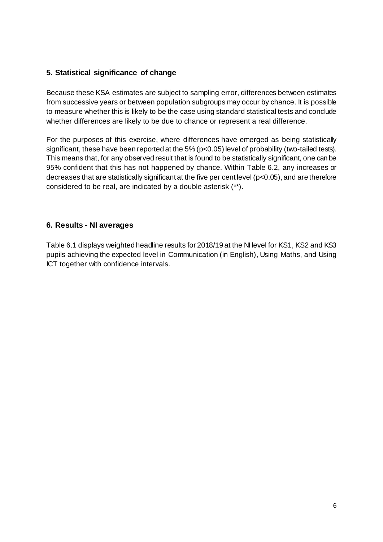# **5. Statistical significance of change**

Because these KSA estimates are subject to sampling error, differences between estimates from successive years or between population subgroups may occur by chance. It is possible to measure whether this is likely to be the case using standard statistical tests and conclude whether differences are likely to be due to chance or represent a real difference.

For the purposes of this exercise, where differences have emerged as being statistically significant, these have been reported at the 5% (p<0.05) level of probability (two-tailed tests). This means that, for any observed result that is found to be statistically significant, one can be 95% confident that this has not happened by chance. Within Table 6.2, any increases or decreases that are statistically significant at the five per cent level (p<0.05), and are therefore considered to be real, are indicated by a double asterisk (\*\*).

# **6. Results - NI averages**

Table 6.1 displays weighted headline results for 2018/19 at the NI level for KS1, KS2 and KS3 pupils achieving the expected level in Communication (in English), Using Maths, and Using ICT together with confidence intervals.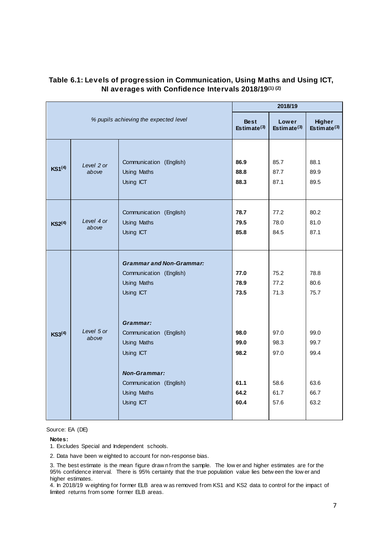|             |                     |                                                                                                                                                                                                                                                              |                                                                      | 2018/19                                                              |                                                                      |
|-------------|---------------------|--------------------------------------------------------------------------------------------------------------------------------------------------------------------------------------------------------------------------------------------------------------|----------------------------------------------------------------------|----------------------------------------------------------------------|----------------------------------------------------------------------|
|             |                     | % pupils achieving the expected level                                                                                                                                                                                                                        | <b>Best</b><br>Estimate <sup>(3)</sup>                               | Lower<br>Estimate $(3)$                                              | <b>Higher</b><br>Estimate $(3)$                                      |
| $KS1^{(4)}$ | Level 2 or<br>above | Communication (English)<br><b>Using Maths</b><br>Using ICT                                                                                                                                                                                                   | 86.9<br>88.8<br>88.3                                                 | 85.7<br>87.7<br>87.1                                                 | 88.1<br>89.9<br>89.5                                                 |
| $KS2^{(4)}$ | Level 4 or<br>above | Communication (English)<br><b>Using Maths</b><br>Using ICT                                                                                                                                                                                                   | 78.7<br>79.5<br>85.8                                                 | 77.2<br>78.0<br>84.5                                                 | 80.2<br>81.0<br>87.1                                                 |
| $KS3^{(4)}$ | Level 5 or<br>above | <b>Grammar and Non-Grammar:</b><br>Communication (English)<br><b>Using Maths</b><br>Using ICT<br>Grammar:<br>Communication (English)<br><b>Using Maths</b><br>Using ICT<br><b>Non-Grammar:</b><br>Communication (English)<br><b>Using Maths</b><br>Using ICT | 77.0<br>78.9<br>73.5<br>98.0<br>99.0<br>98.2<br>61.1<br>64.2<br>60.4 | 75.2<br>77.2<br>71.3<br>97.0<br>98.3<br>97.0<br>58.6<br>61.7<br>57.6 | 78.8<br>80.6<br>75.7<br>99.0<br>99.7<br>99.4<br>63.6<br>66.7<br>63.2 |

### **Table 6.1: Levels of progression in Communication, Using Maths and Using ICT, NI averages with Confidence Intervals 2018/19(1) (2)**

Source: EA (DE)

**Notes:** 

1. Excludes Special and Independent schools.

2. Data have been w eighted to account for non-response bias.

3. The best estimate is the mean figure draw n from the sample. The low er and higher estimates are for the 95% confidence interval. There is 95% certainty that the true population value lies betw een the low er and higher estimates.

4. In 2018/19 w eighting for former ELB area w as removed from KS1 and KS2 data to control for the impact of limited returns from some former ELB areas.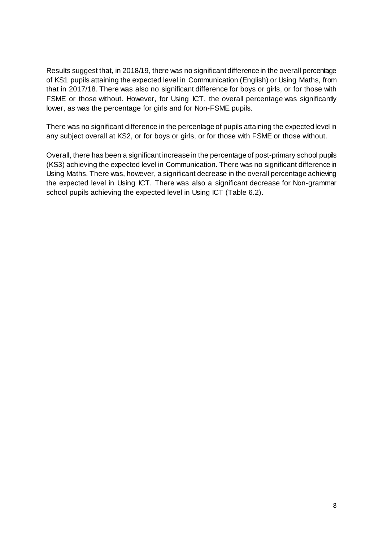Results suggest that, in 2018/19, there was no significant difference in the overall percentage of KS1 pupils attaining the expected level in Communication (English) or Using Maths, from that in 2017/18. There was also no significant difference for boys or girls, or for those with FSME or those without. However, for Using ICT, the overall percentage was significantly lower, as was the percentage for girls and for Non-FSME pupils.

There was no significant difference in the percentage of pupils attaining the expected level in any subject overall at KS2, or for boys or girls, or for those with FSME or those without.

Overall, there has been a significant increase in the percentage of post-primary school pupils (KS3) achieving the expected level in Communication. There was no significant difference in Using Maths. There was, however, a significant decrease in the overall percentage achieving the expected level in Using ICT. There was also a significant decrease for Non-grammar school pupils achieving the expected level in Using ICT (Table 6.2).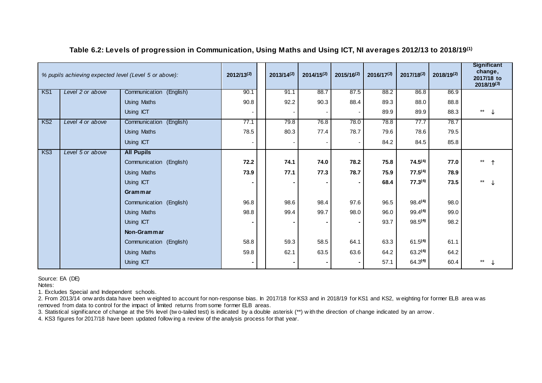| % pupils achieving expected level (Level 5 or above): |                  | $2012/13^{(2)}$         | $2013/14^{(2)}$ | $2014/15^{(2)}$ | $2015/16^{(2)}$ | $2016/17^{(2)}$ | $2017/18^{(2)}$ | $2018/19^{(2)}$ | <b>Significant</b><br>change,<br>2017/18 to<br>$2018/19^{(3)}$ |       |
|-------------------------------------------------------|------------------|-------------------------|-----------------|-----------------|-----------------|-----------------|-----------------|-----------------|----------------------------------------------------------------|-------|
| KS <sub>1</sub>                                       | Level 2 or above | Communication (English) | 90.1            | 91.1            | 88.7            | 87.5            | 88.2            | 86.8            | 86.9                                                           |       |
|                                                       |                  | Using Maths             | 90.8            | 92.2            | 90.3            | 88.4            | 89.3            | 88.0            | 88.8                                                           |       |
|                                                       |                  | Using ICT               | ۰.              | ۰.              |                 |                 | 89.9            | 89.9            | 88.3                                                           | $***$ |
| KS <sub>2</sub>                                       | Level 4 or above | Communication (English) | 77.1            | 79.8            | 76.8            | 78.0            | 78.8            | 77.7            | 78.7                                                           |       |
|                                                       |                  | Using Maths             | 78.5            | 80.3            | 77.4            | 78.7            | 79.6            | 78.6            | 79.5                                                           |       |
|                                                       |                  | Using ICT               | ۰.              | ٠               |                 |                 | 84.2            | 84.5            | 85.8                                                           |       |
| KS <sub>3</sub>                                       | Level 5 or above | <b>All Pupils</b>       |                 |                 |                 |                 |                 |                 |                                                                |       |
|                                                       |                  | Communication (English) | 72.2            | 74.1            | 74.0            | 78.2            | 75.8            | $74.5^{(4)}$    | 77.0                                                           | **    |
|                                                       |                  | Using Maths             | 73.9            | 77.1            | 77.3            | 78.7            | 75.9            | $77.5^{(4)}$    | 78.9                                                           |       |
|                                                       |                  | Using ICT               |                 |                 |                 |                 | 68.4            | $77.3^{(4)}$    | 73.5                                                           | $***$ |
|                                                       |                  | Grammar                 |                 |                 |                 |                 |                 |                 |                                                                |       |
|                                                       |                  | Communication (English) | 96.8            | 98.6            | 98.4            | 97.6            | 96.5            | 98.4(4)         | 98.0                                                           |       |
|                                                       |                  | Using Maths             | 98.8            | 99.4            | 99.7            | 98.0            | 96.0            | $99.4^{(4)}$    | 99.0                                                           |       |
|                                                       |                  | Using ICT               | ۰               | $\blacksquare$  |                 |                 | 93.7            | $98.5^{(4)}$    | 98.2                                                           |       |
|                                                       |                  | Non-Grammar             |                 |                 |                 |                 |                 |                 |                                                                |       |
|                                                       |                  | Communication (English) | 58.8            | 59.3            | 58.5            | 64.1            | 63.3            | $61.5^{(4)}$    | 61.1                                                           |       |
|                                                       |                  | Using Maths             | 59.8            | 62.1            | 63.5            | 63.6            | 64.2            | $63.2^{(4)}$    | 64.2                                                           |       |
|                                                       |                  | Using ICT               | ۰.              | ٠               |                 |                 | 57.1            | $64.3^{(4)}$    | 60.4                                                           | **    |

## **Table 6.2: Levels of progression in Communication, Using Maths and Using ICT, NI averages 2012/13 to 2018/19(1)**

Source: EA (DE)

Notes:

1. Excludes Special and Independent schools.

2. From 2013/14 onw ards data have been w eighted to account for non-response bias. In 2017/18 for KS3 and in 2018/19 for KS1 and KS2, w eighting for former ELB area w as removed from data to control for the impact of limited returns from some former ELB areas.

3. Statistical significance of change at the 5% level (tw o-tailed test) is indicated by a double asterisk (\*\*) w ith the direction of change indicated by an arrow .

4. KS3 figures for 2017/18 have been updated follow ing a review of the analysis process for that year.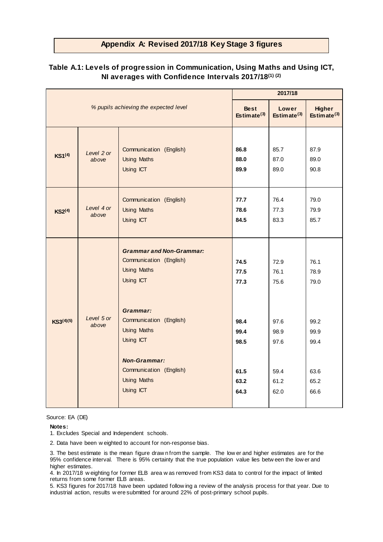## **Appendix A: Revised 2017/18 Key Stage 3 figures**

#### **Table A.1: Levels of progression in Communication, Using Maths and Using ICT, NI averages with Confidence Intervals 2017/18(1) (2)**

|                     |                                                                                                                                                                                                                                                              |                                                                      | 2017/18                                                              |                                                                      |
|---------------------|--------------------------------------------------------------------------------------------------------------------------------------------------------------------------------------------------------------------------------------------------------------|----------------------------------------------------------------------|----------------------------------------------------------------------|----------------------------------------------------------------------|
|                     |                                                                                                                                                                                                                                                              | <b>Best</b><br>Estimate $(3)$                                        | Lower<br>Estimate $(3)$                                              | <b>Higher</b><br>Estimate $(3)$                                      |
| Level 2 or<br>above | Communication (English)<br><b>Using Maths</b><br>Using ICT                                                                                                                                                                                                   | 86.8<br>88.0<br>89.9                                                 | 85.7<br>87.0<br>89.0                                                 | 87.9<br>89.0<br>90.8                                                 |
| Level 4 or<br>above | Communication (English)<br><b>Using Maths</b><br>Using ICT                                                                                                                                                                                                   | 77.7<br>78.6<br>84.5                                                 | 76.4<br>77.3<br>83.3                                                 | 79.0<br>79.9<br>85.7                                                 |
| Level 5 or<br>above | <b>Grammar and Non-Grammar:</b><br>Communication (English)<br><b>Using Maths</b><br>Using ICT<br>Grammar:<br>Communication (English)<br><b>Using Maths</b><br>Using ICT<br><b>Non-Grammar:</b><br>Communication (English)<br><b>Using Maths</b><br>Using ICT | 74.5<br>77.5<br>77.3<br>98.4<br>99.4<br>98.5<br>61.5<br>63.2<br>64.3 | 72.9<br>76.1<br>75.6<br>97.6<br>98.9<br>97.6<br>59.4<br>61.2<br>62.0 | 76.1<br>78.9<br>79.0<br>99.2<br>99.9<br>99.4<br>63.6<br>65.2<br>66.6 |
|                     |                                                                                                                                                                                                                                                              | % pupils achieving the expected level                                |                                                                      |                                                                      |

Source: EA (DE)

**Notes:** 

1. Excludes Special and Independent schools.

2. Data have been w eighted to account for non-response bias.

3. The best estimate is the mean figure draw n from the sample. The low er and higher estimates are for the 95% confidence interval. There is 95% certainty that the true population value lies betw een the low er and higher estimates.

4. In 2017/18 w eighting for former ELB area w as removed from KS3 data to control for the impact of limited returns from some former ELB areas.

5. KS3 figures for 2017/18 have been updated follow ing a review of the analysis process for that year. Due to industrial action, results w ere submitted for around 22% of post-primary school pupils.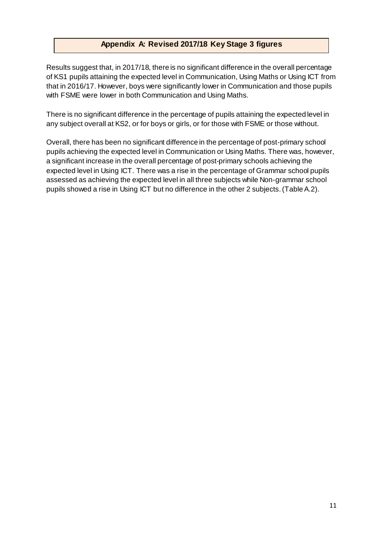## **Appendix A: Revised 2017/18 Key Stage 3 figures**

Results suggest that, in 2017/18, there is no significant difference in the overall percentage of KS1 pupils attaining the expected level in Communication, Using Maths or Using ICT from that in 2016/17. However, boys were significantly lower in Communication and those pupils with FSME were lower in both Communication and Using Maths.

There is no significant difference in the percentage of pupils attaining the expected level in any subject overall at KS2, or for boys or girls, or for those with FSME or those without.

Overall, there has been no significant difference in the percentage of post-primary school pupils achieving the expected level in Communication or Using Maths. There was, however, a significant increase in the overall percentage of post-primary schools achieving the expected level in Using ICT. There was a rise in the percentage of Grammar school pupils assessed as achieving the expected level in all three subjects while Non-grammar school pupils showed a rise in Using ICT but no difference in the other 2 subjects. (Table A.2).